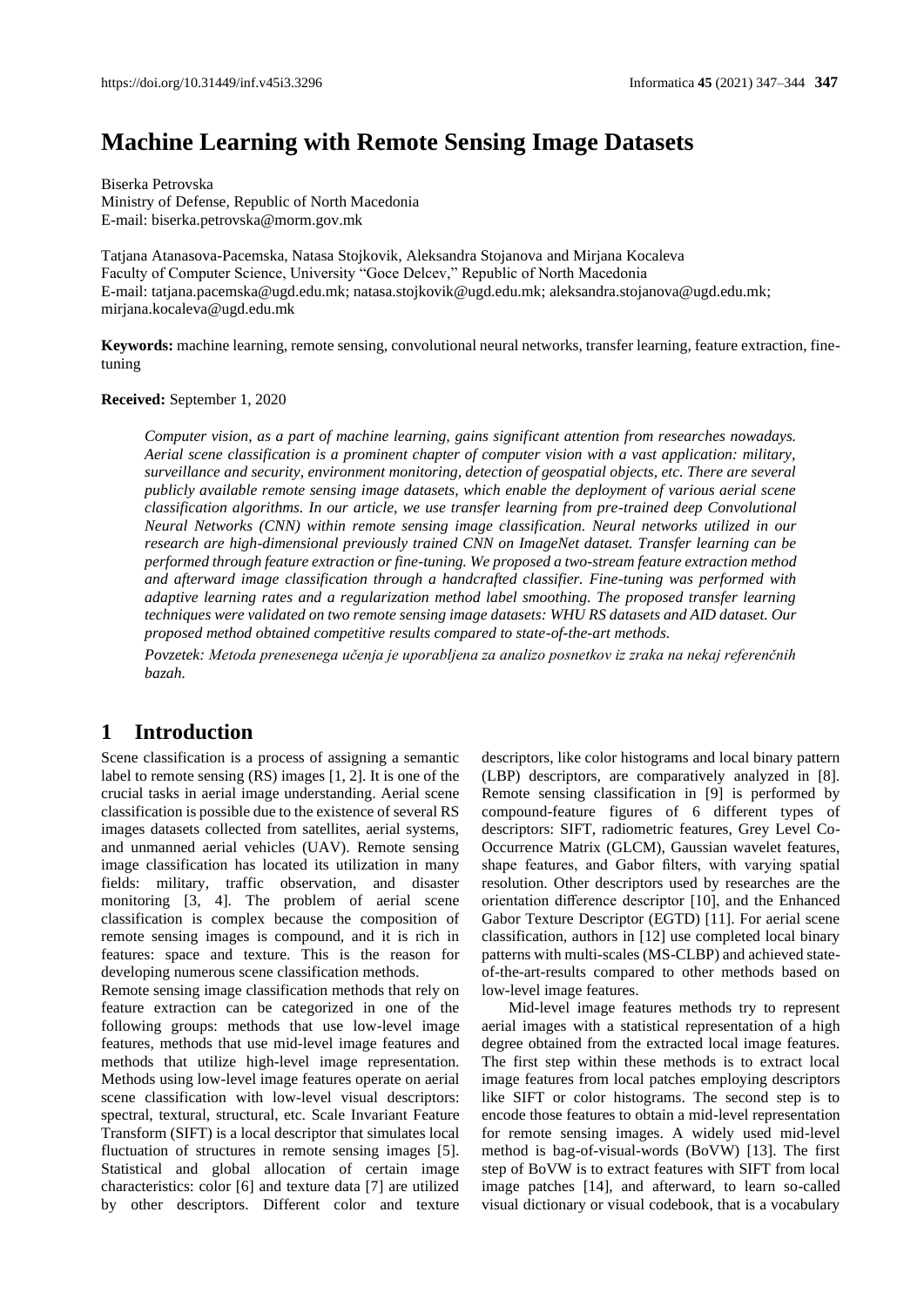# **Machine Learning with Remote Sensing Image Datasets**

Biserka Petrovska Ministry of Defense, Republic of North Macedonia E-mail: biserka.petrovska@morm.gov.mk

Tatjana Atanasova-Pacemska, Natasa Stojkovik, Aleksandra Stojanova and Mirjana Kocaleva Faculty of Computer Science, University "Goce Delcev," Republic of North Macedonia E-mail: tatjana.pacemska@ugd.edu.mk; natasa.stojkovik@ugd.edu.mk; aleksandra.stojanova@ugd.edu.mk; mirjana.kocaleva@ugd.edu.mk

**Keywords:** machine learning, remote sensing, convolutional neural networks, transfer learning, feature extraction, finetuning

#### **Received:** September 1, 2020

*Computer vision, as a part of machine learning, gains significant attention from researches nowadays. Aerial scene classification is a prominent chapter of computer vision with a vast application: military, surveillance and security, environment monitoring, detection of geospatial objects, etc. There are several publicly available remote sensing image datasets, which enable the deployment of various aerial scene classification algorithms. In our article, we use transfer learning from pre-trained deep Convolutional Neural Networks (CNN) within remote sensing image classification. Neural networks utilized in our research are high-dimensional previously trained CNN on ImageNet dataset. Transfer learning can be performed through feature extraction or fine-tuning. We proposed a two-stream feature extraction method and afterward image classification through a handcrafted classifier. Fine-tuning was performed with adaptive learning rates and a regularization method label smoothing. The proposed transfer learning techniques were validated on two remote sensing image datasets: WHU RS datasets and AID dataset. Our proposed method obtained competitive results compared to state-of-the-art methods.*

*Povzetek: Metoda prenesenega učenja je uporabljena za analizo posnetkov iz zraka na nekaj referenčnih bazah.*

# **1 Introduction**

Scene classification is a process of assigning a semantic label to remote sensing (RS) images [1, 2]. It is one of the crucial tasks in aerial image understanding. Aerial scene classification is possible due to the existence of several RS images datasets collected from satellites, aerial systems, and unmanned aerial vehicles (UAV). Remote sensing image classification has located its utilization in many fields: military, traffic observation, and disaster monitoring [3, 4]. The problem of aerial scene classification is complex because the composition of remote sensing images is compound, and it is rich in features: space and texture. This is the reason for developing numerous scene classification methods.

Remote sensing image classification methods that rely on feature extraction can be categorized in one of the following groups: methods that use low-level image features, methods that use mid-level image features and methods that utilize high-level image representation. Methods using low-level image features operate on aerial scene classification with low-level visual descriptors: spectral, textural, structural, etc. Scale Invariant Feature Transform (SIFT) is a local descriptor that simulates local fluctuation of structures in remote sensing images [5]. Statistical and global allocation of certain image characteristics: color [6] and texture data [7] are utilized by other descriptors. Different color and texture descriptors, like color histograms and local binary pattern (LBP) descriptors, are comparatively analyzed in [8]. Remote sensing classification in [9] is performed by compound-feature figures of 6 different types of descriptors: SIFT, radiometric features, Grey Level Co-Occurrence Matrix (GLCM), Gaussian wavelet features, shape features, and Gabor filters, with varying spatial resolution. Other descriptors used by researches are the orientation difference descriptor [10], and the Enhanced Gabor Texture Descriptor (EGTD) [11]. For aerial scene classification, authors in [12] use completed local binary patterns with multi-scales (MS-CLBP) and achieved stateof-the-art-results compared to other methods based on low-level image features.

Mid-level image features methods try to represent aerial images with a statistical representation of a high degree obtained from the extracted local image features. The first step within these methods is to extract local image features from local patches employing descriptors like SIFT or color histograms. The second step is to encode those features to obtain a mid-level representation for remote sensing images. A widely used mid-level method is bag-of-visual-words (BoVW) [13]. The first step of BoVW is to extract features with SIFT from local image patches [14], and afterward, to learn so-called visual dictionary or visual codebook, that is a vocabulary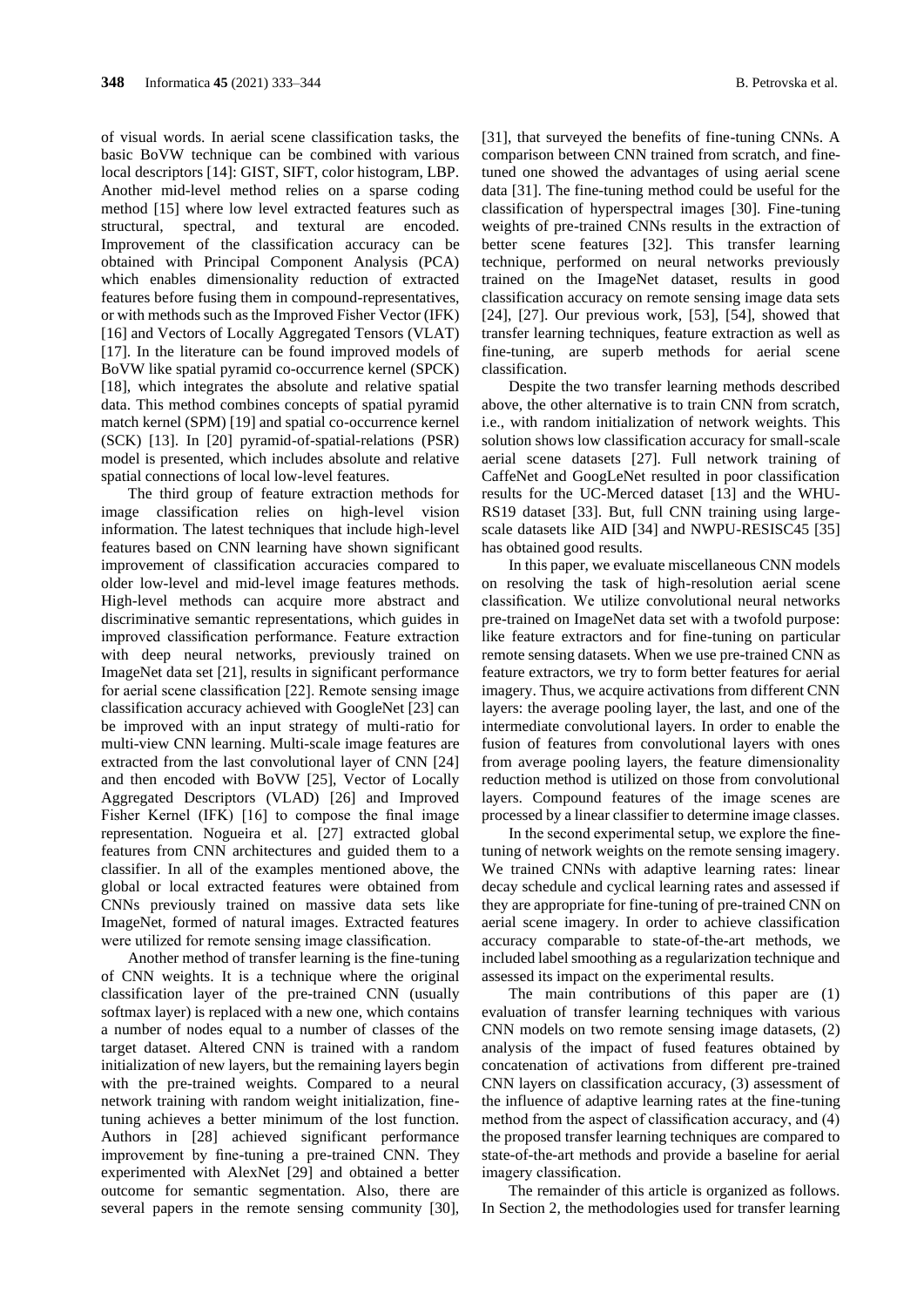of visual words. In aerial scene classification tasks, the basic BoVW technique can be combined with various local descriptors [14]: GIST, SIFT, color histogram, LBP. Another mid-level method relies on a sparse coding method [15] where low level extracted features such as structural, spectral, and textural are encoded. Improvement of the classification accuracy can be obtained with Principal Component Analysis (PCA) which enables dimensionality reduction of extracted features before fusing them in compound-representatives, or with methods such as the Improved Fisher Vector (IFK) [16] and Vectors of Locally Aggregated Tensors (VLAT) [17]. In the literature can be found improved models of BoVW like spatial pyramid co-occurrence kernel (SPCK) [18], which integrates the absolute and relative spatial data. This method combines concepts of spatial pyramid match kernel (SPM) [19] and spatial co-occurrence kernel (SCK) [13]. In [20] pyramid-of-spatial-relations (PSR) model is presented, which includes absolute and relative spatial connections of local low-level features.

The third group of feature extraction methods for image classification relies on high-level vision information. The latest techniques that include high-level features based on CNN learning have shown significant improvement of classification accuracies compared to older low-level and mid-level image features methods. High-level methods can acquire more abstract and discriminative semantic representations, which guides in improved classification performance. Feature extraction with deep neural networks, previously trained on ImageNet data set [21], results in significant performance for aerial scene classification [22]. Remote sensing image classification accuracy achieved with GoogleNet [23] can be improved with an input strategy of multi-ratio for multi-view CNN learning. Multi-scale image features are extracted from the last convolutional layer of CNN [24] and then encoded with BoVW [25], Vector of Locally Aggregated Descriptors (VLAD) [26] and Improved Fisher Kernel (IFK) [16] to compose the final image representation. Nogueira et al. [27] extracted global features from CNN architectures and guided them to a classifier. In all of the examples mentioned above, the global or local extracted features were obtained from CNNs previously trained on massive data sets like ImageNet, formed of natural images. Extracted features were utilized for remote sensing image classification.

Another method of transfer learning is the fine-tuning of CNN weights. It is a technique where the original classification layer of the pre-trained CNN (usually softmax layer) is replaced with a new one, which contains a number of nodes equal to a number of classes of the target dataset. Altered CNN is trained with a random initialization of new layers, but the remaining layers begin with the pre-trained weights. Compared to a neural network training with random weight initialization, finetuning achieves a better minimum of the lost function. Authors in [28] achieved significant performance improvement by fine-tuning a pre-trained CNN. They experimented with AlexNet [29] and obtained a better outcome for semantic segmentation. Also, there are several papers in the remote sensing community [30],

[31], that surveyed the benefits of fine-tuning CNNs. A comparison between CNN trained from scratch, and finetuned one showed the advantages of using aerial scene data [31]. The fine-tuning method could be useful for the classification of hyperspectral images [30]. Fine-tuning weights of pre-trained CNNs results in the extraction of better scene features [32]. This transfer learning technique, performed on neural networks previously trained on the ImageNet dataset, results in good classification accuracy on remote sensing image data sets [24], [27]. Our previous work, [53], [54], showed that transfer learning techniques, feature extraction as well as fine-tuning, are superb methods for aerial scene classification.

Despite the two transfer learning methods described above, the other alternative is to train CNN from scratch, i.e., with random initialization of network weights. This solution shows low classification accuracy for small-scale aerial scene datasets [27]. Full network training of CaffeNet and GoogLeNet resulted in poor classification results for the UC-Merced dataset [13] and the WHU-RS19 dataset [33]. But, full CNN training using largescale datasets like AID [34] and NWPU-RESISC45 [35] has obtained good results.

In this paper, we evaluate miscellaneous CNN models on resolving the task of high-resolution aerial scene classification. We utilize convolutional neural networks pre-trained on ImageNet data set with a twofold purpose: like feature extractors and for fine-tuning on particular remote sensing datasets. When we use pre-trained CNN as feature extractors, we try to form better features for aerial imagery. Thus, we acquire activations from different CNN layers: the average pooling layer, the last, and one of the intermediate convolutional layers. In order to enable the fusion of features from convolutional layers with ones from average pooling layers, the feature dimensionality reduction method is utilized on those from convolutional layers. Compound features of the image scenes are processed by a linear classifier to determine image classes.

In the second experimental setup, we explore the finetuning of network weights on the remote sensing imagery. We trained CNNs with adaptive learning rates: linear decay schedule and cyclical learning rates and assessed if they are appropriate for fine-tuning of pre-trained CNN on aerial scene imagery. In order to achieve classification accuracy comparable to state-of-the-art methods, we included label smoothing as a regularization technique and assessed its impact on the experimental results.

The main contributions of this paper are (1) evaluation of transfer learning techniques with various CNN models on two remote sensing image datasets, (2) analysis of the impact of fused features obtained by concatenation of activations from different pre-trained CNN layers on classification accuracy, (3) assessment of the influence of adaptive learning rates at the fine-tuning method from the aspect of classification accuracy, and (4) the proposed transfer learning techniques are compared to state-of-the-art methods and provide a baseline for aerial imagery classification.

The remainder of this article is organized as follows. In Section 2, the methodologies used for transfer learning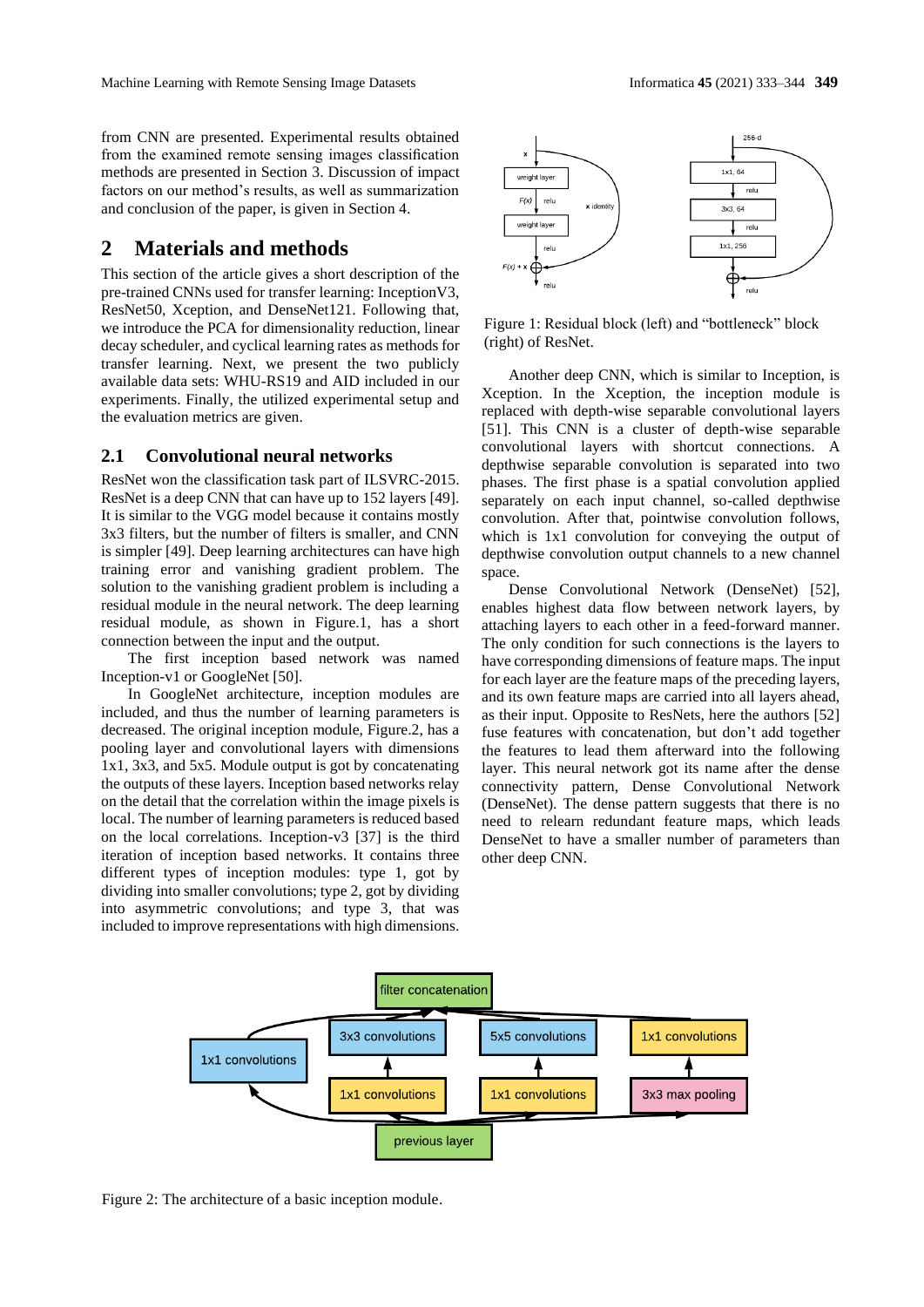from CNN are presented. Experimental results obtained from the examined remote sensing images classification methods are presented in Section 3. Discussion of impact factors on our method's results, as well as summarization and conclusion of the paper, is given in Section 4.

# **2 Materials and methods**

This section of the article gives a short description of the pre-trained CNNs used for transfer learning: InceptionV3, ResNet50, Xception, and DenseNet121. Following that, we introduce the PCA for dimensionality reduction, linear decay scheduler, and cyclical learning rates as methods for transfer learning. Next, we present the two publicly available data sets: WHU-RS19 and AID included in our experiments. Finally, the utilized experimental setup and the evaluation metrics are given.

#### **2.1 Convolutional neural networks**

ResNet won the classification task part of ILSVRC-2015. ResNet is a deep CNN that can have up to 152 layers [49]. It is similar to the VGG model because it contains mostly 3x3 filters, but the number of filters is smaller, and CNN is simpler [49]. Deep learning architectures can have high training error and vanishing gradient problem. The solution to the vanishing gradient problem is including a residual module in the neural network. The deep learning residual module, as shown in Figure.1, has a short connection between the input and the output.

The first inception based network was named Inception-v1 or GoogleNet [50].

In GoogleNet architecture, inception modules are included, and thus the number of learning parameters is decreased. The original inception module, Figure.2, has a pooling layer and convolutional layers with dimensions 1x1, 3x3, and 5x5. Module output is got by concatenating the outputs of these layers. Inception based networks relay on the detail that the correlation within the image pixels is local. The number of learning parameters is reduced based on the local correlations. Inception-v3 [37] is the third iteration of inception based networks. It contains three different types of inception modules: type 1, got by dividing into smaller convolutions; type 2, got by dividing into asymmetric convolutions; and type 3, that was included to improve representations with high dimensions.



Figure 1: Residual block (left) and "bottleneck" block (right) of ResNet.

Another deep CNN, which is similar to Inception, is Xception. In the Xception, the inception module is replaced with depth-wise separable convolutional layers [51]. This CNN is a cluster of depth-wise separable convolutional layers with shortcut connections. A depthwise separable convolution is separated into two phases. The first phase is a spatial convolution applied separately on each input channel, so-called depthwise convolution. After that, pointwise convolution follows, which is 1x1 convolution for conveying the output of depthwise convolution output channels to a new channel space.

Dense Convolutional Network (DenseNet) [52], enables highest data flow between network layers, by attaching layers to each other in a feed-forward manner. The only condition for such connections is the layers to have corresponding dimensions of feature maps. The input for each layer are the feature maps of the preceding layers, and its own feature maps are carried into all layers ahead, as their input. Opposite to ResNets, here the authors [52] fuse features with concatenation, but don't add together the features to lead them afterward into the following layer. This neural network got its name after the dense connectivity pattern, Dense Convolutional Network (DenseNet). The dense pattern suggests that there is no need to relearn redundant feature maps, which leads DenseNet to have a smaller number of parameters than other deep CNN.



Figure 2: The architecture of a basic inception module.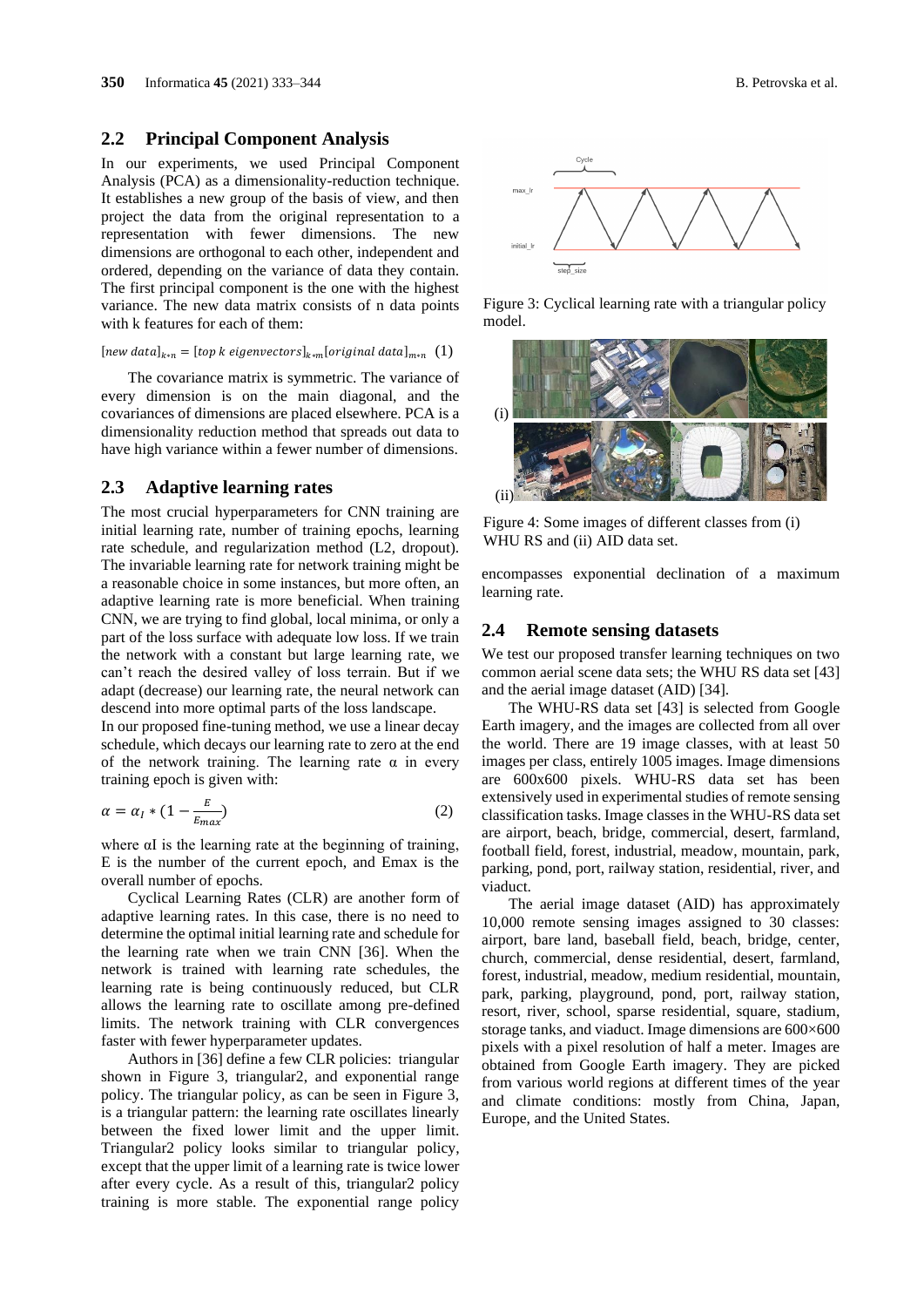#### **2.2 Principal Component Analysis**

In our experiments, we used Principal Component Analysis (PCA) as a dimensionality-reduction technique. It establishes a new group of the basis of view, and then project the data from the original representation to a representation with fewer dimensions. The new dimensions are orthogonal to each other, independent and ordered, depending on the variance of data they contain. The first principal component is the one with the highest variance. The new data matrix consists of n data points with k features for each of them:

 $[new data]_{k*n} = [top k eigenvectors]_{k*m} [original data]_{m*n}$  (1)

The covariance matrix is symmetric. The variance of every dimension is on the main diagonal, and the covariances of dimensions are placed elsewhere. PCA is a dimensionality reduction method that spreads out data to have high variance within a fewer number of dimensions.

#### **2.3 Adaptive learning rates**

The most crucial hyperparameters for CNN training are initial learning rate, number of training epochs, learning rate schedule, and regularization method (L2, dropout). The invariable learning rate for network training might be a reasonable choice in some instances, but more often, an adaptive learning rate is more beneficial. When training CNN, we are trying to find global, local minima, or only a part of the loss surface with adequate low loss. If we train the network with a constant but large learning rate, we can't reach the desired valley of loss terrain. But if we adapt (decrease) our learning rate, the neural network can descend into more optimal parts of the loss landscape.

In our proposed fine-tuning method, we use a linear decay schedule, which decays our learning rate to zero at the end of the network training. The learning rate  $\alpha$  in every training epoch is given with:

$$
\alpha = \alpha_I \ast (1 - \frac{E}{E_{max}})
$$
 (2)

where αI is the learning rate at the beginning of training, E is the number of the current epoch, and Emax is the overall number of epochs.

Cyclical Learning Rates (CLR) are another form of adaptive learning rates. In this case, there is no need to determine the optimal initial learning rate and schedule for the learning rate when we train CNN [36]. When the network is trained with learning rate schedules, the learning rate is being continuously reduced, but CLR allows the learning rate to oscillate among pre-defined limits. The network training with CLR convergences faster with fewer hyperparameter updates.

Authors in [36] define a few CLR policies: triangular shown in Figure 3, triangular2, and exponential range policy. The triangular policy, as can be seen in Figure 3, is a triangular pattern: the learning rate oscillates linearly between the fixed lower limit and the upper limit. Triangular2 policy looks similar to triangular policy, except that the upper limit of a learning rate is twice lower after every cycle. As a result of this, triangular2 policy training is more stable. The exponential range policy



Figure 3: Cyclical learning rate with a triangular policy model.



Figure 4: Some images of different classes from (i) WHU RS and (ii) AID data set.

encompasses exponential declination of a maximum learning rate.

#### **2.4 Remote sensing datasets**

We test our proposed transfer learning techniques on two common aerial scene data sets; the WHU RS data set [43] and the aerial image dataset (AID) [34].

The WHU-RS data set [43] is selected from Google Earth imagery, and the images are collected from all over the world. There are 19 image classes, with at least 50 images per class, entirely 1005 images. Image dimensions are 600x600 pixels. WHU-RS data set has been extensively used in experimental studies of remote sensing classification tasks. Image classes in the WHU-RS data set are airport, beach, bridge, commercial, desert, farmland, football field, forest, industrial, meadow, mountain, park, parking, pond, port, railway station, residential, river, and viaduct.

The aerial image dataset (AID) has approximately 10,000 remote sensing images assigned to 30 classes: airport, bare land, baseball field, beach, bridge, center, church, commercial, dense residential, desert, farmland, forest, industrial, meadow, medium residential, mountain, park, parking, playground, pond, port, railway station, resort, river, school, sparse residential, square, stadium, storage tanks, and viaduct. Image dimensions are 600×600 pixels with a pixel resolution of half a meter. Images are obtained from Google Earth imagery. They are picked from various world regions at different times of the year and climate conditions: mostly from China, Japan, Europe, and the United States.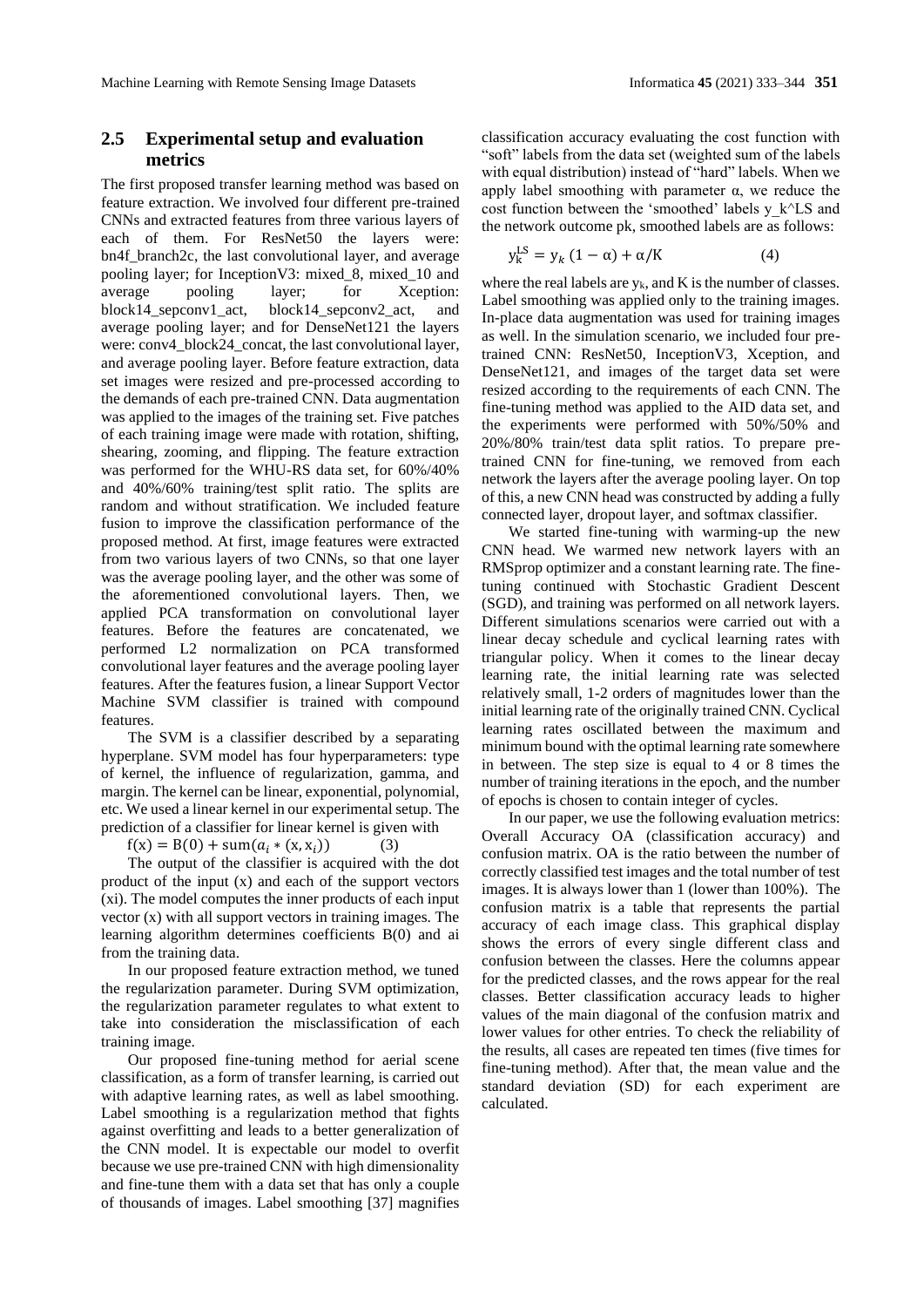### **2.5 Experimental setup and evaluation metrics**

The first proposed transfer learning method was based on feature extraction. We involved four different pre-trained CNNs and extracted features from three various layers of each of them. For ResNet50 the layers were: bn4f branch2c, the last convolutional layer, and average pooling layer; for InceptionV3: mixed\_8, mixed\_10 and average pooling layer; for Xception: block14\_sepconv1\_act, block14\_sepconv2\_act, and average pooling layer; and for DenseNet121 the layers were: conv4\_block24\_concat, the last convolutional layer, and average pooling layer. Before feature extraction, data set images were resized and pre-processed according to the demands of each pre-trained CNN. Data augmentation was applied to the images of the training set. Five patches of each training image were made with rotation, shifting, shearing, zooming, and flipping. The feature extraction was performed for the WHU-RS data set, for 60%/40% and 40%/60% training/test split ratio. The splits are random and without stratification. We included feature fusion to improve the classification performance of the proposed method. At first, image features were extracted from two various layers of two CNNs, so that one layer was the average pooling layer, and the other was some of the aforementioned convolutional layers. Then, we applied PCA transformation on convolutional layer features. Before the features are concatenated, we performed L2 normalization on PCA transformed convolutional layer features and the average pooling layer features. After the features fusion, a linear Support Vector Machine SVM classifier is trained with compound features.

The SVM is a classifier described by a separating hyperplane. SVM model has four hyperparameters: type of kernel, the influence of regularization, gamma, and margin. The kernel can be linear, exponential, polynomial, etc. We used a linear kernel in our experimental setup. The prediction of a classifier for linear kernel is given with

 $f(x) = B(0) + sum(a_i * (x, x_i))$  (3)

The output of the classifier is acquired with the dot product of the input (x) and each of the support vectors (xi). The model computes the inner products of each input vector (x) with all support vectors in training images. The learning algorithm determines coefficients B(0) and ai from the training data.

In our proposed feature extraction method, we tuned the regularization parameter. During SVM optimization, the regularization parameter regulates to what extent to take into consideration the misclassification of each training image.

Our proposed fine-tuning method for aerial scene classification, as a form of transfer learning, is carried out with adaptive learning rates, as well as label smoothing. Label smoothing is a regularization method that fights against overfitting and leads to a better generalization of the CNN model. It is expectable our model to overfit because we use pre-trained CNN with high dimensionality and fine-tune them with a data set that has only a couple of thousands of images. Label smoothing [37] magnifies

classification accuracy evaluating the cost function with "soft" labels from the data set (weighted sum of the labels with equal distribution) instead of "hard" labels. When we apply label smoothing with parameter  $\alpha$ , we reduce the cost function between the 'smoothed' labels  $y$  k $\triangle$ LS and the network outcome pk, smoothed labels are as follows:

$$
y_{k}^{\text{LS}} = y_{k} (1 - \alpha) + \alpha/K \tag{4}
$$

where the real labels are  $y_k$ , and K is the number of classes. Label smoothing was applied only to the training images. In-place data augmentation was used for training images as well. In the simulation scenario, we included four pretrained CNN: ResNet50, InceptionV3, Xception, and DenseNet121, and images of the target data set were resized according to the requirements of each CNN. The fine-tuning method was applied to the AID data set, and the experiments were performed with 50%/50% and 20%/80% train/test data split ratios. To prepare pretrained CNN for fine-tuning, we removed from each network the layers after the average pooling layer. On top of this, a new CNN head was constructed by adding a fully connected layer, dropout layer, and softmax classifier.

We started fine-tuning with warming-up the new CNN head. We warmed new network layers with an RMSprop optimizer and a constant learning rate. The finetuning continued with Stochastic Gradient Descent (SGD), and training was performed on all network layers. Different simulations scenarios were carried out with a linear decay schedule and cyclical learning rates with triangular policy. When it comes to the linear decay learning rate, the initial learning rate was selected relatively small, 1-2 orders of magnitudes lower than the initial learning rate of the originally trained CNN. Cyclical learning rates oscillated between the maximum and minimum bound with the optimal learning rate somewhere in between. The step size is equal to 4 or 8 times the number of training iterations in the epoch, and the number of epochs is chosen to contain integer of cycles.

In our paper, we use the following evaluation metrics: Overall Accuracy OA (classification accuracy) and confusion matrix. OA is the ratio between the number of correctly classified test images and the total number of test images. It is always lower than 1 (lower than 100%). The confusion matrix is a table that represents the partial accuracy of each image class. This graphical display shows the errors of every single different class and confusion between the classes. Here the columns appear for the predicted classes, and the rows appear for the real classes. Better classification accuracy leads to higher values of the main diagonal of the confusion matrix and lower values for other entries. To check the reliability of the results, all cases are repeated ten times (five times for fine-tuning method). After that, the mean value and the standard deviation (SD) for each experiment are calculated.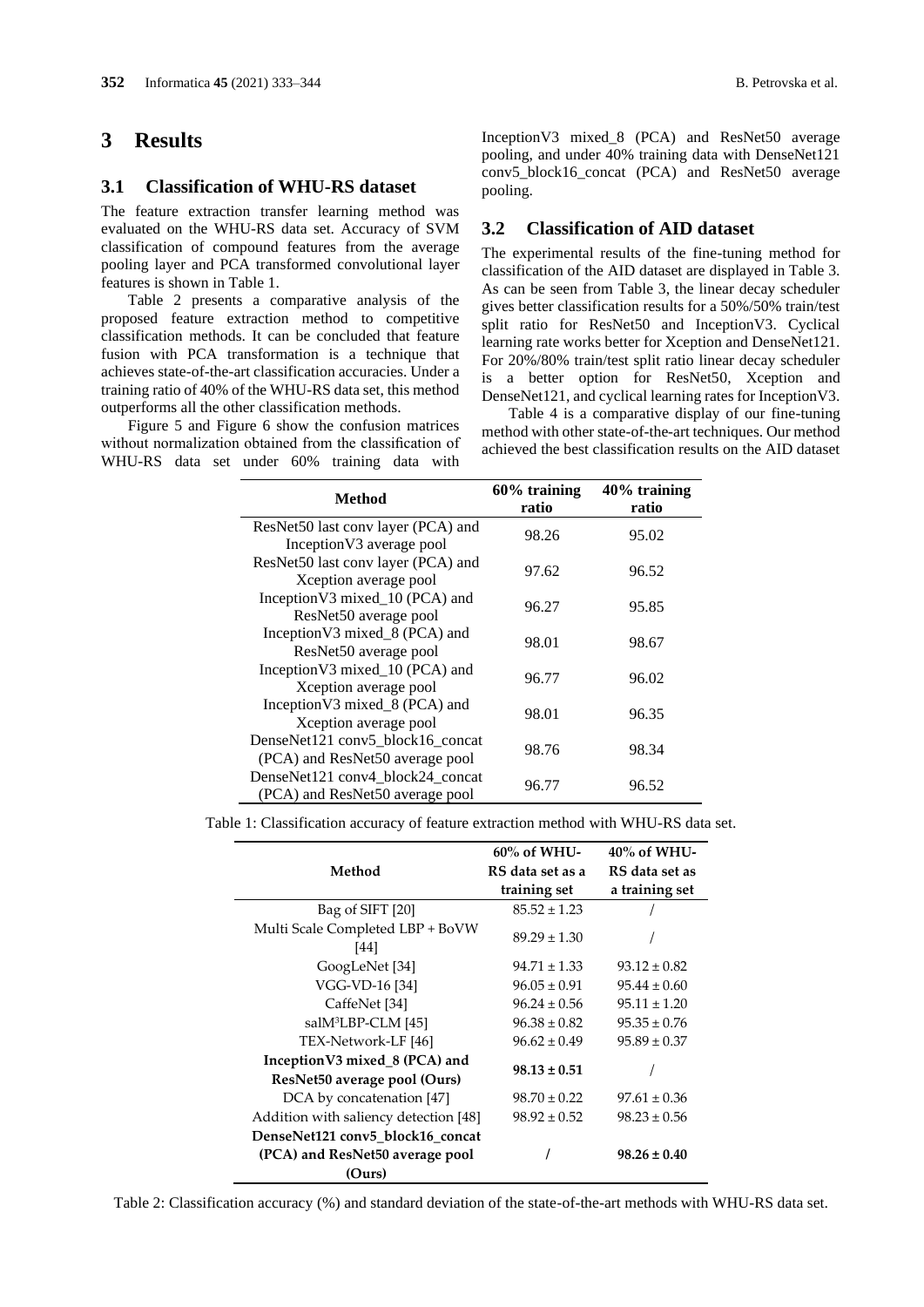# **3 Results**

### **3.1 Classification of WHU-RS dataset**

The feature extraction transfer learning method was evaluated on the WHU-RS data set. Accuracy of SVM classification of compound features from the average pooling layer and PCA transformed convolutional layer features is shown in Table 1.

Table 2 presents a comparative analysis of the proposed feature extraction method to competitive classification methods. It can be concluded that feature fusion with PCA transformation is a technique that achieves state-of-the-art classification accuracies. Under a training ratio of 40% of the WHU-RS data set, this method outperforms all the other classification methods.

Figure 5 and Figure 6 show the confusion matrices without normalization obtained from the classification of WHU-RS data set under 60% training data with

InceptionV3 mixed\_8 (PCA) and ResNet50 average pooling, and under 40% training data with DenseNet121 conv5\_block16\_concat (PCA) and ResNet50 average pooling.

### **3.2 Classification of AID dataset**

The experimental results of the fine-tuning method for classification of the AID dataset are displayed in Table 3. As can be seen from Table 3, the linear decay scheduler gives better classification results for a 50%/50% train/test split ratio for ResNet50 and InceptionV3. Cyclical learning rate works better for Xception and DenseNet121. For 20%/80% train/test split ratio linear decay scheduler is a better option for ResNet50, Xception and DenseNet121, and cyclical learning rates for InceptionV3.

Table 4 is a comparative display of our fine-tuning method with other state-of-the-art techniques. Our method achieved the best classification results on the AID dataset

| Method                                                              | 60% training<br>ratio | 40% training<br>ratio |
|---------------------------------------------------------------------|-----------------------|-----------------------|
| ResNet 50 last conv layer (PCA) and<br>Inception V3 average pool    | 98.26                 | 95.02                 |
| ResNet 50 last conv layer (PCA) and<br>X ception average pool       | 97.62                 | 96.52                 |
| Inception V3 mixed_10 (PCA) and<br>ResNet50 average pool            | 96.27                 | 95.85                 |
| Inception V3 mixed_8 (PCA) and<br>ResNet50 average pool             | 98.01                 | 98.67                 |
| Inception V3 mixed_10 (PCA) and<br>Xception average pool            | 96.77                 | 96.02                 |
| Inception $V3$ mixed $8$ (PCA) and<br>Xception average pool         | 98.01                 | 96.35                 |
| DenseNet121 conv5_block16_concat<br>(PCA) and ResNet50 average pool | 98.76                 | 98.34                 |
| DenseNet121 conv4 block24 concat<br>(PCA) and ResNet50 average pool | 96.77                 | 96.52                 |

Table 1: Classification accuracy of feature extraction method with WHU-RS data set.

|                                                                | $60\%$ of WHU-   | $40\%$ of WHU-   |
|----------------------------------------------------------------|------------------|------------------|
| Method                                                         | RS data set as a | RS data set as   |
|                                                                | training set     | a training set   |
| Bag of SIFT [20]                                               | $85.52 \pm 1.23$ |                  |
| Multi Scale Completed LBP + BoVW<br>[44]                       | $89.29 \pm 1.30$ |                  |
| GoogLeNet [34]                                                 | $94.71 \pm 1.33$ | $93.12 \pm 0.82$ |
| VGG-VD-16 [34]                                                 | $96.05 \pm 0.91$ | $95.44 \pm 0.60$ |
| CaffeNet [34]                                                  | $96.24 \pm 0.56$ | $95.11 \pm 1.20$ |
| salM <sup>3</sup> LBP-CLM [45]                                 | $96.38 \pm 0.82$ | $95.35 \pm 0.76$ |
| TEX-Network-LF [46]                                            | $96.62 \pm 0.49$ | $95.89 \pm 0.37$ |
| Inception V3 mixed_8 (PCA) and<br>ResNet50 average pool (Ours) | $98.13 \pm 0.51$ |                  |
| DCA by concatenation [47]                                      | $98.70 \pm 0.22$ | $97.61 \pm 0.36$ |
| Addition with saliency detection [48]                          | $98.92 \pm 0.52$ | $98.23 \pm 0.56$ |
| DenseNet121 conv5 block16 concat                               |                  |                  |
| (PCA) and ResNet50 average pool                                |                  | $98.26 \pm 0.40$ |
| (Ours)                                                         |                  |                  |

Table 2: Classification accuracy (%) and standard deviation of the state-of-the-art methods with WHU-RS data set.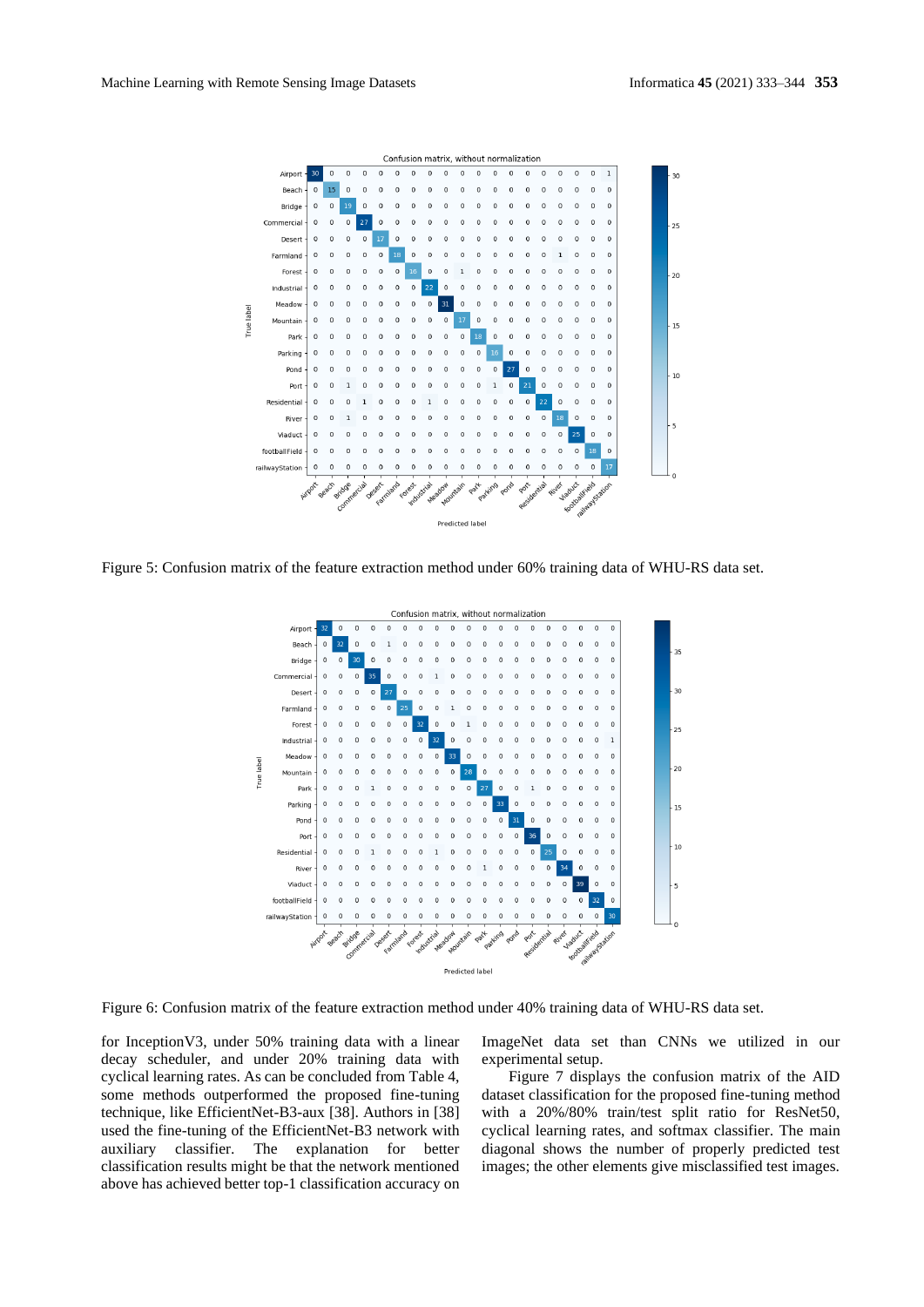

Figure 5: Confusion matrix of the feature extraction method under 60% training data of WHU-RS data set.



Figure 6: Confusion matrix of the feature extraction method under 40% training data of WHU-RS data set.

for InceptionV3, under 50% training data with a linear decay scheduler, and under 20% training data with cyclical learning rates. As can be concluded from Table 4, some methods outperformed the proposed fine-tuning technique, like EfficientNet-B3-aux [38]. Authors in [38] used the fine-tuning of the EfficientNet-B3 network with auxiliary classifier. The explanation for better classification results might be that the network mentioned above has achieved better top-1 classification accuracy on ImageNet data set than CNNs we utilized in our experimental setup.

Figure 7 displays the confusion matrix of the AID dataset classification for the proposed fine-tuning method with a 20%/80% train/test split ratio for ResNet50, cyclical learning rates, and softmax classifier. The main diagonal shows the number of properly predicted test images; the other elements give misclassified test images.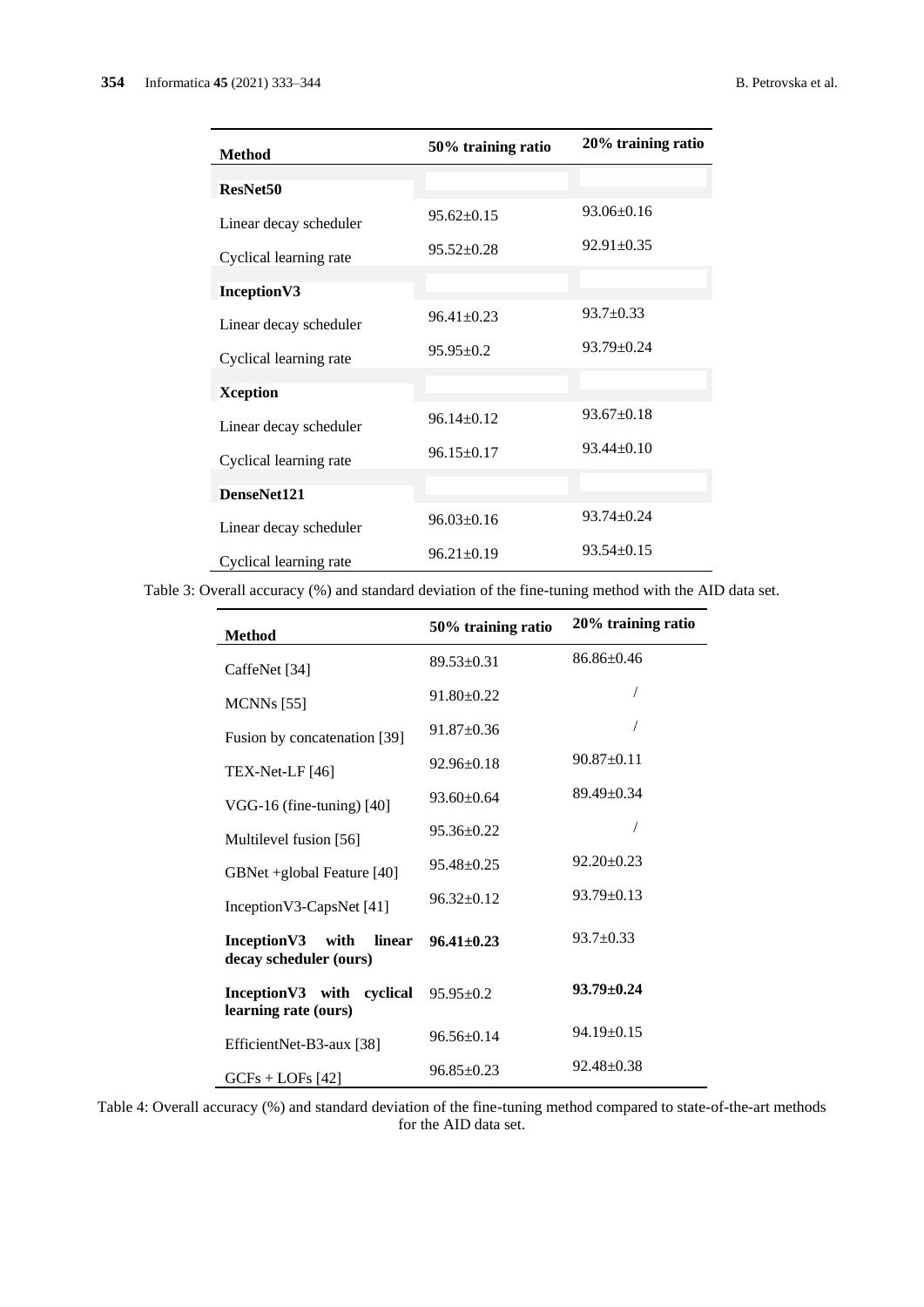| <b>Method</b>          | 50% training ratio | 20% training ratio |
|------------------------|--------------------|--------------------|
| ResNet <sub>50</sub>   |                    |                    |
| Linear decay scheduler | $95.62 \pm 0.15$   | $93.06 \pm 0.16$   |
| Cyclical learning rate | $95.52 \pm 0.28$   | $92.91 \pm 0.35$   |
| Inception V3           |                    |                    |
| Linear decay scheduler | $96.41 \pm 0.23$   | $93.7 \pm 0.33$    |
| Cyclical learning rate | $95.95 \pm 0.2$    | $93.79 \pm 0.24$   |
| <b>Xception</b>        |                    |                    |
| Linear decay scheduler | $96.14 \pm 0.12$   | $93.67 \pm 0.18$   |
| Cyclical learning rate | $96.15 \pm 0.17$   | $93.44 \pm 0.10$   |
| DenseNet121            |                    |                    |
| Linear decay scheduler | $96.03 \pm 0.16$   | $93.74 \pm 0.24$   |
| Cyclical learning rate | $96.21 \pm 0.19$   | $93.54 \pm 0.15$   |

Table 3: Overall accuracy (%) and standard deviation of the fine-tuning method with the AID data set.

| <b>Method</b>                                            | 50% training ratio | 20% training ratio |
|----------------------------------------------------------|--------------------|--------------------|
| CaffeNet [34]                                            | $89.53 \pm 0.31$   | $86.86 \pm 0.46$   |
| $MCNNs$ [55]                                             | $91.80 \pm 0.22$   |                    |
| Fusion by concatenation [39]                             | $91.87 \pm 0.36$   |                    |
| $TEX-Net-LF[46]$                                         | $92.96 \pm 0.18$   | $90.87 \pm 0.11$   |
| VGG-16 (fine-tuning) [40]                                | $93.60 + 0.64$     | $89.49 + 0.34$     |
| Multilevel fusion [56]                                   | $95.36 \pm 0.22$   |                    |
| GBNet +global Feature [40]                               | $95.48 \pm 0.25$   | $92.20 \pm 0.23$   |
| Inception V3-CapsNet [41]                                | $96.32 \pm 0.12$   | $93.79 \pm 0.13$   |
| Inception V3<br>linear<br>with<br>decay scheduler (ours) | $96.41 + 0.23$     | $93.7 \pm 0.33$    |
| Inception V3 with cyclical<br>learning rate (ours)       | $95.95 \pm 0.2$    | $93.79 \pm 0.24$   |
| EfficientNet-B3-aux [38]                                 | $96.56 \pm 0.14$   | $94.19 \pm 0.15$   |
| $GCFs + LOFs [42]$                                       | $96.85 \pm 0.23$   | $92.48 \pm 0.38$   |

Table 4: Overall accuracy (%) and standard deviation of the fine-tuning method compared to state-of-the-art methods for the AID data set.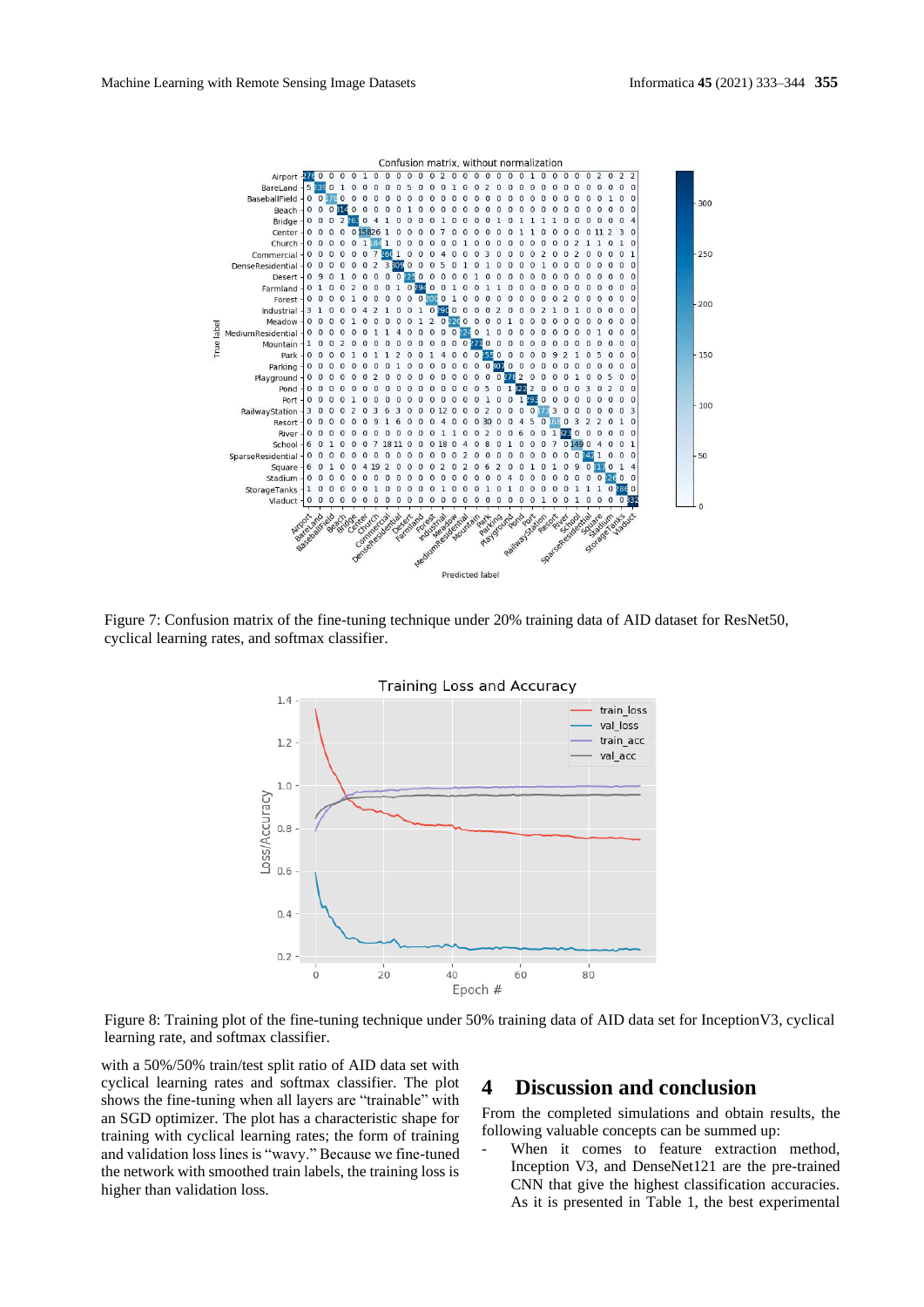

Figure 7: Confusion matrix of the fine-tuning technique under 20% training data of AID dataset for ResNet50, cyclical learning rates, and softmax classifier.



Figure 8: Training plot of the fine-tuning technique under 50% training data of AID data set for InceptionV3, cyclical learning rate, and softmax classifier.

with a 50%/50% train/test split ratio of AID data set with cyclical learning rates and softmax classifier. The plot shows the fine-tuning when all layers are "trainable" with an SGD optimizer. The plot has a characteristic shape for training with cyclical learning rates; the form of training and validation loss lines is "wavy." Because we fine-tuned the network with smoothed train labels, the training loss is higher than validation loss.

### **4 Discussion and conclusion**

From the completed simulations and obtain results, the following valuable concepts can be summed up:

When it comes to feature extraction method, Inception V3, and DenseNet121 are the pre-trained CNN that give the highest classification accuracies. As it is presented in Table 1, the best experimental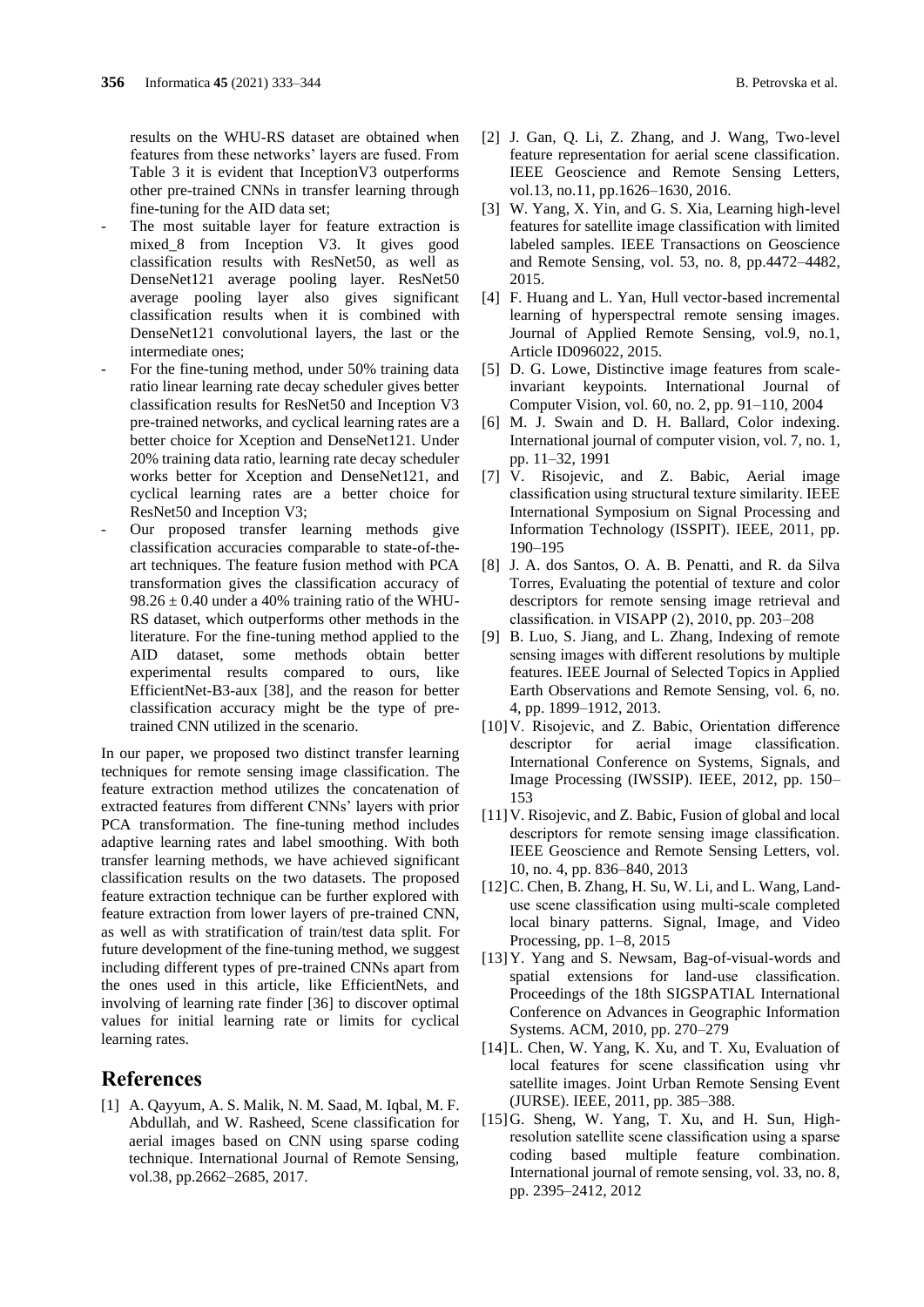results on the WHU-RS dataset are obtained when features from these networks' layers are fused. From Table 3 it is evident that InceptionV3 outperforms other pre-trained CNNs in transfer learning through fine-tuning for the AID data set;

- The most suitable layer for feature extraction is mixed\_8 from Inception V3. It gives good classification results with ResNet50, as well as DenseNet121 average pooling layer. ResNet50 average pooling layer also gives significant classification results when it is combined with DenseNet121 convolutional layers, the last or the intermediate ones;
- For the fine-tuning method, under 50% training data ratio linear learning rate decay scheduler gives better classification results for ResNet50 and Inception V3 pre-trained networks, and cyclical learning rates are a better choice for Xception and DenseNet121. Under 20% training data ratio, learning rate decay scheduler works better for Xception and DenseNet121, and cyclical learning rates are a better choice for ResNet50 and Inception V3;
- Our proposed transfer learning methods give classification accuracies comparable to state-of-theart techniques. The feature fusion method with PCA transformation gives the classification accuracy of  $98.26 \pm 0.40$  under a 40% training ratio of the WHU-RS dataset, which outperforms other methods in the literature. For the fine-tuning method applied to the AID dataset, some methods obtain better experimental results compared to ours, like EfficientNet-B3-aux [38], and the reason for better classification accuracy might be the type of pretrained CNN utilized in the scenario.

In our paper, we proposed two distinct transfer learning techniques for remote sensing image classification. The feature extraction method utilizes the concatenation of extracted features from different CNNs' layers with prior PCA transformation. The fine-tuning method includes adaptive learning rates and label smoothing. With both transfer learning methods, we have achieved significant classification results on the two datasets. The proposed feature extraction technique can be further explored with feature extraction from lower layers of pre-trained CNN, as well as with stratification of train/test data split. For future development of the fine-tuning method, we suggest including different types of pre-trained CNNs apart from the ones used in this article, like EfficientNets, and involving of learning rate finder [36] to discover optimal values for initial learning rate or limits for cyclical learning rates.

# **References**

[1] A. Qayyum, A. S. Malik, N. M. Saad, M. Iqbal, M. F. Abdullah, and W. Rasheed, Scene classification for aerial images based on CNN using sparse coding technique. International Journal of Remote Sensing, vol.38, pp.2662–2685, 2017.

- [2] J. Gan, Q. Li, Z. Zhang, and J. Wang, Two-level feature representation for aerial scene classification. IEEE Geoscience and Remote Sensing Letters, vol.13, no.11, pp.1626–1630, 2016.
- [3] W. Yang, X. Yin, and G. S. Xia, Learning high-level features for satellite image classification with limited labeled samples. IEEE Transactions on Geoscience and Remote Sensing, vol. 53, no. 8, pp.4472–4482, 2015.
- [4] F. Huang and L. Yan, Hull vector-based incremental learning of hyperspectral remote sensing images. Journal of Applied Remote Sensing, vol.9, no.1, Article ID096022, 2015.
- [5] D. G. Lowe, Distinctive image features from scaleinvariant keypoints. International Journal of Computer Vision, vol. 60, no. 2, pp. 91–110, 2004
- [6] M. J. Swain and D. H. Ballard, Color indexing. International journal of computer vision, vol. 7, no. 1, pp. 11–32, 1991
- [7] V. Risojevic, and Z. Babic, Aerial image classification using structural texture similarity. IEEE International Symposium on Signal Processing and Information Technology (ISSPIT). IEEE, 2011, pp. 190–195
- [8] J. A. dos Santos, O. A. B. Penatti, and R. da Silva Torres, Evaluating the potential of texture and color descriptors for remote sensing image retrieval and classification. in VISAPP (2), 2010, pp. 203–208
- [9] B. Luo, S. Jiang, and L. Zhang, Indexing of remote sensing images with different resolutions by multiple features. IEEE Journal of Selected Topics in Applied Earth Observations and Remote Sensing, vol. 6, no. 4, pp. 1899–1912, 2013.
- [10] V. Risojevic, and Z. Babic, Orientation difference descriptor for aerial image classification. International Conference on Systems, Signals, and Image Processing (IWSSIP). IEEE, 2012, pp. 150– 153
- [11]V. Risojevic, and Z. Babic, Fusion of global and local descriptors for remote sensing image classification. IEEE Geoscience and Remote Sensing Letters, vol. 10, no. 4, pp. 836–840, 2013
- [12] C. Chen, B. Zhang, H. Su, W. Li, and L. Wang, Landuse scene classification using multi-scale completed local binary patterns. Signal, Image, and Video Processing, pp. 1–8, 2015
- [13]Y. Yang and S. Newsam, Bag-of-visual-words and spatial extensions for land-use classification. Proceedings of the 18th SIGSPATIAL International Conference on Advances in Geographic Information Systems. ACM, 2010, pp. 270–279
- [14]L. Chen, W. Yang, K. Xu, and T. Xu, Evaluation of local features for scene classification using vhr satellite images. Joint Urban Remote Sensing Event (JURSE). IEEE, 2011, pp. 385–388.
- [15]G. Sheng, W. Yang, T. Xu, and H. Sun, Highresolution satellite scene classification using a sparse coding based multiple feature combination. International journal of remote sensing, vol. 33, no. 8, pp. 2395–2412, 2012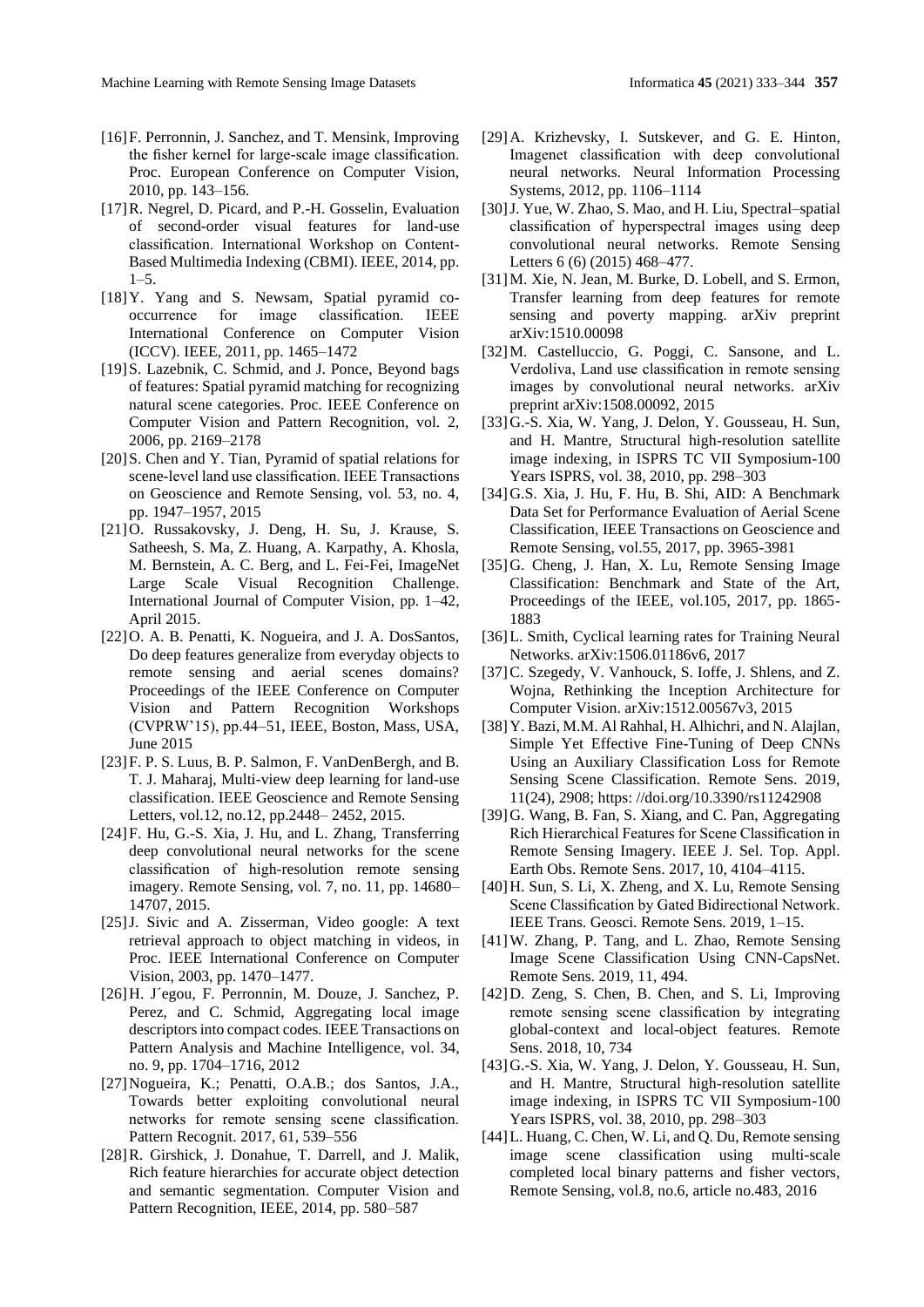- [16]F. Perronnin, J. Sanchez, and T. Mensink, Improving the fisher kernel for large-scale image classification. Proc. European Conference on Computer Vision,
- 2010, pp. 143–156. [17]R. Negrel, D. Picard, and P.-H. Gosselin, Evaluation
- of second-order visual features for land-use classification. International Workshop on Content-Based Multimedia Indexing (CBMI). IEEE, 2014, pp.  $1 - 5$ .
- [18]Y. Yang and S. Newsam, Spatial pyramid cooccurrence for image classification. IEEE International Conference on Computer Vision (ICCV). IEEE, 2011, pp. 1465–1472
- [19] S. Lazebnik, C. Schmid, and J. Ponce, Beyond bags of features: Spatial pyramid matching for recognizing natural scene categories. Proc. IEEE Conference on Computer Vision and Pattern Recognition, vol. 2, 2006, pp. 2169–2178
- [20] S. Chen and Y. Tian, Pyramid of spatial relations for scene-level land use classification. IEEE Transactions on Geoscience and Remote Sensing, vol. 53, no. 4, pp. 1947–1957, 2015
- [21]O. Russakovsky, J. Deng, H. Su, J. Krause, S. Satheesh, S. Ma, Z. Huang, A. Karpathy, A. Khosla, M. Bernstein, A. C. Berg, and L. Fei-Fei, ImageNet Large Scale Visual Recognition Challenge. International Journal of Computer Vision, pp. 1–42, April 2015.
- [22]O. A. B. Penatti, K. Nogueira, and J. A. DosSantos, Do deep features generalize from everyday objects to remote sensing and aerial scenes domains? Proceedings of the IEEE Conference on Computer Vision and Pattern Recognition Workshops (CVPRW'15), pp.44–51, IEEE, Boston, Mass, USA, June 2015
- [23] F. P. S. Luus, B. P. Salmon, F. VanDenBergh, and B. T. J. Maharaj, Multi-view deep learning for land-use classification. IEEE Geoscience and Remote Sensing Letters, vol.12, no.12, pp.2448– 2452, 2015.
- [24]F. Hu, G.-S. Xia, J. Hu, and L. Zhang, Transferring deep convolutional neural networks for the scene classification of high-resolution remote sensing imagery. Remote Sensing, vol. 7, no. 11, pp. 14680– 14707, 2015.
- [25]J. Sivic and A. Zisserman, Video google: A text retrieval approach to object matching in videos, in Proc. IEEE International Conference on Computer Vision, 2003, pp. 1470–1477.
- [26]H. J´egou, F. Perronnin, M. Douze, J. Sanchez, P. Perez, and C. Schmid, Aggregating local image descriptors into compact codes. IEEE Transactions on Pattern Analysis and Machine Intelligence, vol. 34, no. 9, pp. 1704–1716, 2012
- [27]Nogueira, K.; Penatti, O.A.B.; dos Santos, J.A., Towards better exploiting convolutional neural networks for remote sensing scene classification. Pattern Recognit. 2017, 61, 539–556
- [28]R. Girshick, J. Donahue, T. Darrell, and J. Malik, Rich feature hierarchies for accurate object detection and semantic segmentation. Computer Vision and Pattern Recognition, IEEE, 2014, pp. 580–587
- [29]A. Krizhevsky, I. Sutskever, and G. E. Hinton, Imagenet classification with deep convolutional neural networks. Neural Information Processing Systems, 2012, pp. 1106–1114
- [30]J. Yue, W. Zhao, S. Mao, and H. Liu, Spectral–spatial classification of hyperspectral images using deep convolutional neural networks. Remote Sensing Letters 6 (6) (2015) 468–477.
- [31] M. Xie, N. Jean, M. Burke, D. Lobell, and S. Ermon, Transfer learning from deep features for remote sensing and poverty mapping. arXiv preprint arXiv:1510.00098
- [32]M. Castelluccio, G. Poggi, C. Sansone, and L. Verdoliva, Land use classification in remote sensing images by convolutional neural networks. arXiv preprint arXiv:1508.00092, 2015
- [33]G.-S. Xia, W. Yang, J. Delon, Y. Gousseau, H. Sun, and H. Mantre, Structural high-resolution satellite image indexing, in ISPRS TC VII Symposium-100 Years ISPRS, vol. 38, 2010, pp. 298–303
- [34]G.S. Xia, J. Hu, F. Hu, B. Shi, AID: A Benchmark Data Set for Performance Evaluation of Aerial Scene Classification, IEEE Transactions on Geoscience and Remote Sensing, vol.55, 2017, pp. 3965-3981
- [35]G. Cheng, J. Han, X. Lu, Remote Sensing Image Classification: Benchmark and State of the Art, Proceedings of the IEEE, vol.105, 2017, pp. 1865- 1883
- [36]L. Smith, Cyclical learning rates for Training Neural Networks. arXiv:1506.01186v6, 2017
- [37] C. Szegedy, V. Vanhouck, S. Ioffe, J. Shlens, and Z. Wojna, Rethinking the Inception Architecture for Computer Vision. arXiv:1512.00567v3, 2015
- [38]Y. Bazi, M.M. Al Rahhal, H. Alhichri, and N. Alajlan, Simple Yet Effective Fine-Tuning of Deep CNNs Using an Auxiliary Classification Loss for Remote Sensing Scene Classification. Remote Sens. 2019, 11(24), 2908; https: //doi.org/10.3390/rs11242908
- [39]G. Wang, B. Fan, S. Xiang, and C. Pan, Aggregating Rich Hierarchical Features for Scene Classification in Remote Sensing Imagery. IEEE J. Sel. Top. Appl. Earth Obs. Remote Sens. 2017, 10, 4104–4115.
- [40]H. Sun, S. Li, X. Zheng, and X. Lu, Remote Sensing Scene Classification by Gated Bidirectional Network. IEEE Trans. Geosci. Remote Sens. 2019, 1–15.
- [41]W. Zhang, P. Tang, and L. Zhao, Remote Sensing Image Scene Classification Using CNN-CapsNet. Remote Sens. 2019, 11, 494.
- [42]D. Zeng, S. Chen, B. Chen, and S. Li, Improving remote sensing scene classification by integrating global-context and local-object features. Remote Sens. 2018, 10, 734
- [43]G.-S. Xia, W. Yang, J. Delon, Y. Gousseau, H. Sun, and H. Mantre, Structural high-resolution satellite image indexing, in ISPRS TC VII Symposium-100 Years ISPRS, vol. 38, 2010, pp. 298–303
- [44] L. Huang, C. Chen, W. Li, and O. Du, Remote sensing image scene classification using multi-scale completed local binary patterns and fisher vectors, Remote Sensing, vol.8, no.6, article no.483, 2016